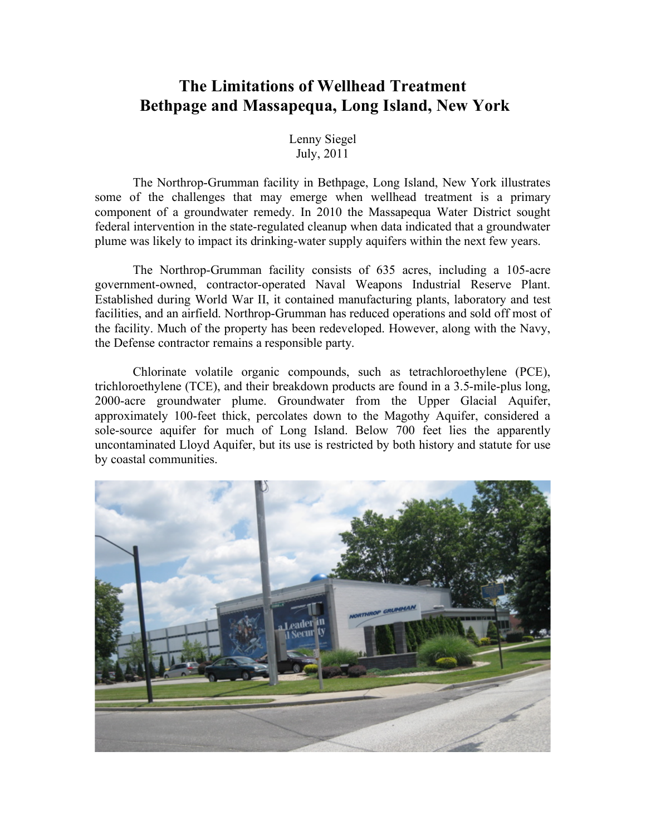## **The Limitations of Wellhead Treatment Bethpage and Massapequa, Long Island, New York**

Lenny Siegel July, 2011

The Northrop-Grumman facility in Bethpage, Long Island, New York illustrates some of the challenges that may emerge when wellhead treatment is a primary component of a groundwater remedy. In 2010 the Massapequa Water District sought federal intervention in the state-regulated cleanup when data indicated that a groundwater plume was likely to impact its drinking-water supply aquifers within the next few years.

The Northrop-Grumman facility consists of 635 acres, including a 105-acre government-owned, contractor-operated Naval Weapons Industrial Reserve Plant. Established during World War II, it contained manufacturing plants, laboratory and test facilities, and an airfield. Northrop-Grumman has reduced operations and sold off most of the facility. Much of the property has been redeveloped. However, along with the Navy, the Defense contractor remains a responsible party.

Chlorinate volatile organic compounds, such as tetrachloroethylene (PCE), trichloroethylene (TCE), and their breakdown products are found in a 3.5-mile-plus long, 2000-acre groundwater plume. Groundwater from the Upper Glacial Aquifer, approximately 100-feet thick, percolates down to the Magothy Aquifer, considered a sole-source aquifer for much of Long Island. Below 700 feet lies the apparently uncontaminated Lloyd Aquifer, but its use is restricted by both history and statute for use by coastal communities.

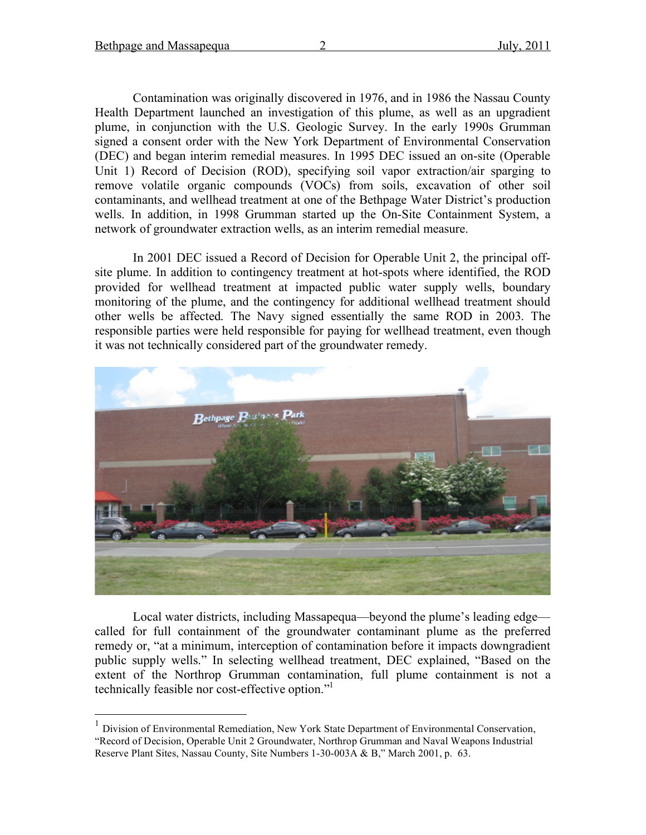Contamination was originally discovered in 1976, and in 1986 the Nassau County Health Department launched an investigation of this plume, as well as an upgradient plume, in conjunction with the U.S. Geologic Survey. In the early 1990s Grumman signed a consent order with the New York Department of Environmental Conservation (DEC) and began interim remedial measures. In 1995 DEC issued an on-site (Operable Unit 1) Record of Decision (ROD), specifying soil vapor extraction/air sparging to remove volatile organic compounds (VOCs) from soils, excavation of other soil contaminants, and wellhead treatment at one of the Bethpage Water District's production wells. In addition, in 1998 Grumman started up the On-Site Containment System, a network of groundwater extraction wells, as an interim remedial measure.

In 2001 DEC issued a Record of Decision for Operable Unit 2, the principal offsite plume. In addition to contingency treatment at hot-spots where identified, the ROD provided for wellhead treatment at impacted public water supply wells, boundary monitoring of the plume, and the contingency for additional wellhead treatment should other wells be affected. The Navy signed essentially the same ROD in 2003. The responsible parties were held responsible for paying for wellhead treatment, even though it was not technically considered part of the groundwater remedy.



Local water districts, including Massapequa—beyond the plume's leading edge called for full containment of the groundwater contaminant plume as the preferred remedy or, "at a minimum, interception of contamination before it impacts downgradient public supply wells." In selecting wellhead treatment, DEC explained, "Based on the extent of the Northrop Grumman contamination, full plume containment is not a technically feasible nor cost-effective option." 1

 <sup>1</sup> Division of Environmental Remediation, New York State Department of Environmental Conservation, "Record of Decision, Operable Unit 2 Groundwater, Northrop Grumman and Naval Weapons Industrial Reserve Plant Sites, Nassau County, Site Numbers 1-30-003A & B," March 2001, p. 63.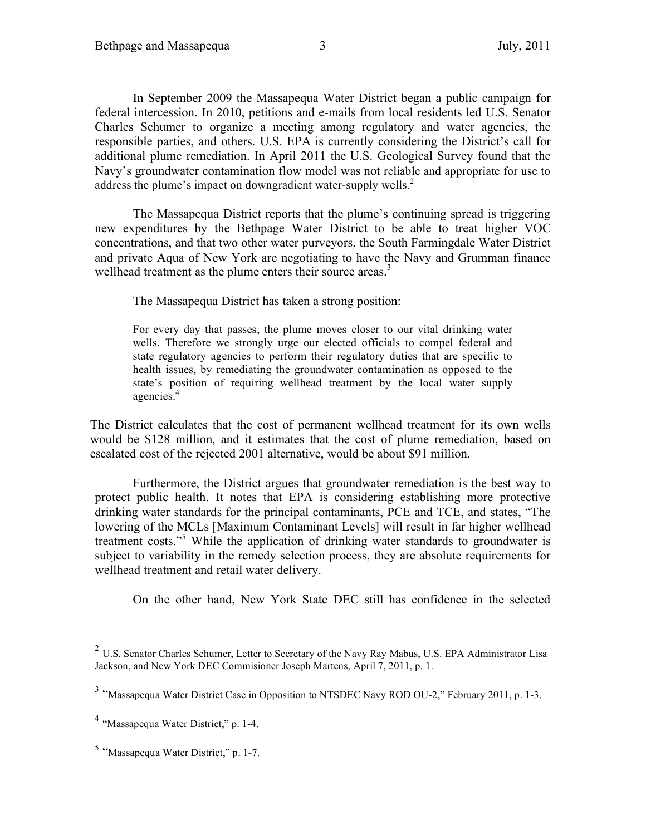In September 2009 the Massapequa Water District began a public campaign for federal intercession. In 2010, petitions and e-mails from local residents led U.S. Senator Charles Schumer to organize a meeting among regulatory and water agencies, the responsible parties, and others. U.S. EPA is currently considering the District's call for additional plume remediation. In April 2011 the U.S. Geological Survey found that the Navy's groundwater contamination flow model was not reliable and appropriate for use to address the plume's impact on downgradient water-supply wells.<sup>2</sup>

The Massapequa District reports that the plume's continuing spread is triggering new expenditures by the Bethpage Water District to be able to treat higher VOC concentrations, and that two other water purveyors, the South Farmingdale Water District and private Aqua of New York are negotiating to have the Navy and Grumman finance wellhead treatment as the plume enters their source areas.<sup>3</sup>

The Massapequa District has taken a strong position:

For every day that passes, the plume moves closer to our vital drinking water wells. Therefore we strongly urge our elected officials to compel federal and state regulatory agencies to perform their regulatory duties that are specific to health issues, by remediating the groundwater contamination as opposed to the state's position of requiring wellhead treatment by the local water supply agencies. 4

The District calculates that the cost of permanent wellhead treatment for its own wells would be \$128 million, and it estimates that the cost of plume remediation, based on escalated cost of the rejected 2001 alternative, would be about \$91 million.

Furthermore, the District argues that groundwater remediation is the best way to protect public health. It notes that EPA is considering establishing more protective drinking water standards for the principal contaminants, PCE and TCE, and states, "The lowering of the MCLs [Maximum Contaminant Levels] will result in far higher wellhead treatment costs." <sup>5</sup> While the application of drinking water standards to groundwater is subject to variability in the remedy selection process, they are absolute requirements for wellhead treatment and retail water delivery.

On the other hand, New York State DEC still has confidence in the selected

 $\overline{a}$ 

<sup>&</sup>lt;sup>2</sup> U.S. Senator Charles Schumer, Letter to Secretary of the Navy Ray Mabus, U.S. EPA Administrator Lisa Jackson, and New York DEC Commisioner Joseph Martens, April 7, 2011, p. 1.

<sup>&</sup>lt;sup>3</sup> "Massapequa Water District Case in Opposition to NTSDEC Navy ROD OU-2," February 2011, p. 1-3.

<sup>4</sup> "Massapequa Water District," p. 1-4.

<sup>5</sup> "Massapequa Water District," p. 1-7.